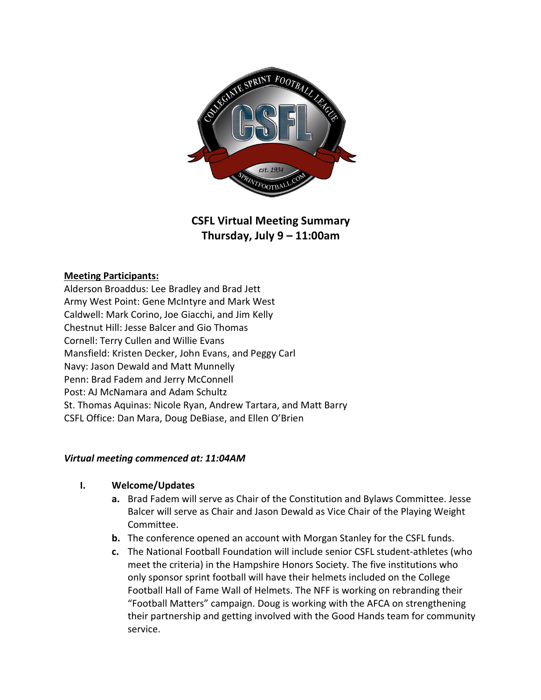

# **CSFL Virtual Meeting Summary Thursday, July 9 – 11:00am**

### **Meeting Participants:**

Alderson Broaddus: Lee Bradley and Brad Jett Army West Point: Gene McIntyre and Mark West Caldwell: Mark Corino, Joe Giacchi, and Jim Kelly Chestnut Hill: Jesse Balcer and Gio Thomas Cornell: Terry Cullen and Willie Evans Mansfield: Kristen Decker, John Evans, and Peggy Carl Navy: Jason Dewald and Matt Munnelly Penn: Brad Fadem and Jerry McConnell Post: AJ McNamara and Adam Schultz St. Thomas Aquinas: Nicole Ryan, Andrew Tartara, and Matt Barry CSFL Office: Dan Mara, Doug DeBiase, and Ellen O'Brien

#### *Virtual meeting commenced at: 11:04AM*

#### **I. Welcome/Updates**

- **a.** Brad Fadem will serve as Chair of the Constitution and Bylaws Committee. Jesse Balcer will serve as Chair and Jason Dewald as Vice Chair of the Playing Weight Committee.
- **b.** The conference opened an account with Morgan Stanley for the CSFL funds.
- **c.** The National Football Foundation will include senior CSFL student-athletes (who meet the criteria) in the Hampshire Honors Society. The five institutions who only sponsor sprint football will have their helmets included on the College Football Hall of Fame Wall of Helmets. The NFF is working on rebranding their "Football Matters" campaign. Doug is working with the AFCA on strengthening their partnership and getting involved with the Good Hands team for community service.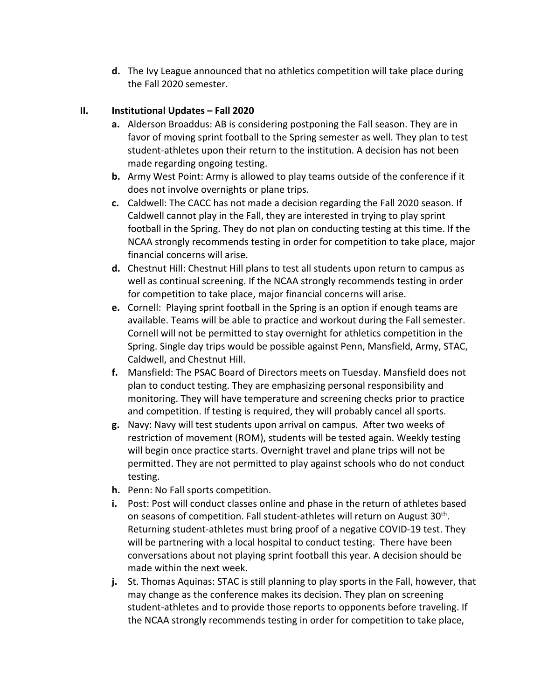**d.** The Ivy League announced that no athletics competition will take place during the Fall 2020 semester.

## **II. Institutional Updates – Fall 2020**

- **a.** Alderson Broaddus: AB is considering postponing the Fall season. They are in favor of moving sprint football to the Spring semester as well. They plan to test student-athletes upon their return to the institution. A decision has not been made regarding ongoing testing.
- **b.** Army West Point: Army is allowed to play teams outside of the conference if it does not involve overnights or plane trips.
- **c.** Caldwell: The CACC has not made a decision regarding the Fall 2020 season. If Caldwell cannot play in the Fall, they are interested in trying to play sprint football in the Spring. They do not plan on conducting testing at this time. If the NCAA strongly recommends testing in order for competition to take place, major financial concerns will arise.
- **d.** Chestnut Hill: Chestnut Hill plans to test all students upon return to campus as well as continual screening. If the NCAA strongly recommends testing in order for competition to take place, major financial concerns will arise.
- **e.** Cornell: Playing sprint football in the Spring is an option if enough teams are available. Teams will be able to practice and workout during the Fall semester. Cornell will not be permitted to stay overnight for athletics competition in the Spring. Single day trips would be possible against Penn, Mansfield, Army, STAC, Caldwell, and Chestnut Hill.
- **f.** Mansfield: The PSAC Board of Directors meets on Tuesday. Mansfield does not plan to conduct testing. They are emphasizing personal responsibility and monitoring. They will have temperature and screening checks prior to practice and competition. If testing is required, they will probably cancel all sports.
- **g.** Navy: Navy will test students upon arrival on campus. After two weeks of restriction of movement (ROM), students will be tested again. Weekly testing will begin once practice starts. Overnight travel and plane trips will not be permitted. They are not permitted to play against schools who do not conduct testing.
- **h.** Penn: No Fall sports competition.
- **i.** Post: Post will conduct classes online and phase in the return of athletes based on seasons of competition. Fall student-athletes will return on August 30<sup>th</sup>. Returning student-athletes must bring proof of a negative COVID-19 test. They will be partnering with a local hospital to conduct testing. There have been conversations about not playing sprint football this year. A decision should be made within the next week.
- **j.** St. Thomas Aquinas: STAC is still planning to play sports in the Fall, however, that may change as the conference makes its decision. They plan on screening student-athletes and to provide those reports to opponents before traveling. If the NCAA strongly recommends testing in order for competition to take place,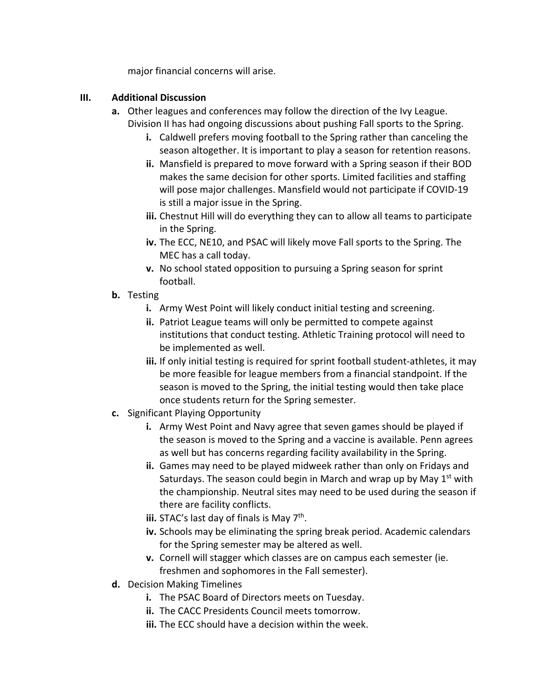major financial concerns will arise.

# **III. Additional Discussion**

- **a.** Other leagues and conferences may follow the direction of the Ivy League. Division II has had ongoing discussions about pushing Fall sports to the Spring.
	- **i.** Caldwell prefers moving football to the Spring rather than canceling the season altogether. It is important to play a season for retention reasons.
	- **ii.** Mansfield is prepared to move forward with a Spring season if their BOD makes the same decision for other sports. Limited facilities and staffing will pose major challenges. Mansfield would not participate if COVID-19 is still a major issue in the Spring.
	- **iii.** Chestnut Hill will do everything they can to allow all teams to participate in the Spring.
	- **iv.** The ECC, NE10, and PSAC will likely move Fall sports to the Spring. The MEC has a call today.
	- **v.** No school stated opposition to pursuing a Spring season for sprint football.
- **b.** Testing
	- **i.** Army West Point will likely conduct initial testing and screening.
	- **ii.** Patriot League teams will only be permitted to compete against institutions that conduct testing. Athletic Training protocol will need to be implemented as well.
	- **iii.** If only initial testing is required for sprint football student-athletes, it may be more feasible for league members from a financial standpoint. If the season is moved to the Spring, the initial testing would then take place once students return for the Spring semester.
- **c.** Significant Playing Opportunity
	- **i.** Army West Point and Navy agree that seven games should be played if the season is moved to the Spring and a vaccine is available. Penn agrees as well but has concerns regarding facility availability in the Spring.
	- **ii.** Games may need to be played midweek rather than only on Fridays and Saturdays. The season could begin in March and wrap up by May  $1<sup>st</sup>$  with the championship. Neutral sites may need to be used during the season if there are facility conflicts.
	- iii. STAC's last day of finals is May 7<sup>th</sup>.
	- **iv.** Schools may be eliminating the spring break period. Academic calendars for the Spring semester may be altered as well.
	- **v.** Cornell will stagger which classes are on campus each semester (ie. freshmen and sophomores in the Fall semester).
- **d.** Decision Making Timelines
	- **i.** The PSAC Board of Directors meets on Tuesday.
	- **ii.** The CACC Presidents Council meets tomorrow.
	- **iii.** The ECC should have a decision within the week.